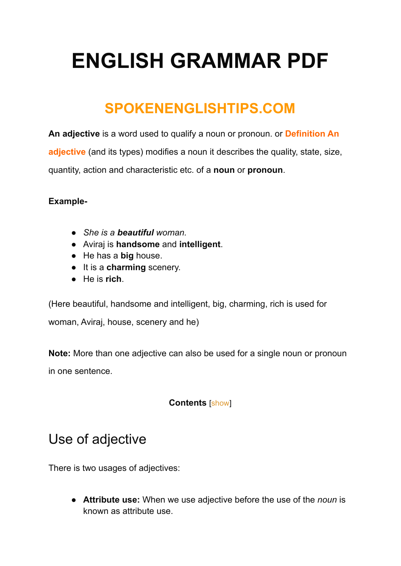# **ENGLISH GRAMMAR PDF**

### **SPOKENENGLISHTIPS.COM**

**An adjective** is a word used to qualify a noun or pronoun. or **[Definition](https://spokenenglishtips.com/adjective-grammar-diffination-of-adjective/) An [adjective](https://spokenenglishtips.com/adjective-grammar-diffination-of-adjective/)** (and its types) modifies a noun it describes the quality, state, size, quantity, action and characteristic etc. of a **noun** or **pronoun**.

#### **Example-**

- *She is a beautiful woman.*
- Aviraj is **handsome** and **intelligent**.
- He has a **big** house.
- It is a **charming** scenery.
- He is **rich**.

(Here beautiful, handsome and intelligent, big, charming, rich is used for woman, Aviraj, house, scenery and he)

**Note:** More than one adjective can also be used for a single noun or pronoun in one sentence.

#### **Contents** [\[show](https://spokenenglishtips.com/definition-of-adjective-and-its-types-grammar-spoken-english/#)]

### Use of adjective

There is two usages of adjectives:

● **Attribute use:** When we use adjective before the use of the *noun* is known as attribute use.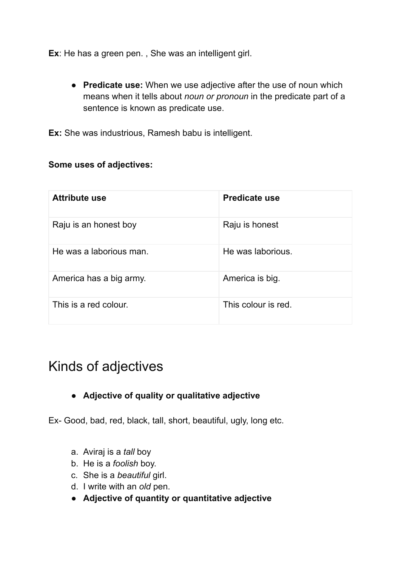**Ex**: He has a green pen. , She was an intelligent girl.

● **Predicate use:** When we use adjective after the use of noun which means when it tells about *noun or pronoun* in the predicate part of a sentence is known as predicate use.

**Ex:** She was industrious, Ramesh babu is intelligent.

#### **Some uses of adjectives:**

| <b>Attribute use</b>    | <b>Predicate use</b> |
|-------------------------|----------------------|
| Raju is an honest boy   | Raju is honest       |
| He was a laborious man. | He was laborious.    |
| America has a big army. | America is big.      |
| This is a red colour.   | This colour is red.  |

### Kinds of adjectives

#### ● **Adjective of quality or qualitative adjective**

Ex- Good, bad, red, black, tall, short, beautiful, ugly, long etc.

- a. Aviraj is a *tall* boy
- b. He is a *foolish* boy.
- c. She is a *beautiful* girl.
- d. I write with an *old* pen.
- **Adjective of quantity or quantitative adjective**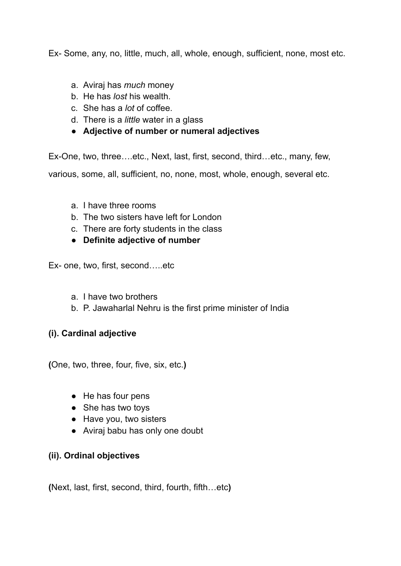Ex- Some, any, no, little, much, all, whole, enough, sufficient, none, most etc.

- a. Aviraj has *much* money
- b. He has *lost* his wealth.
- c. She has a *lot* of coffee.
- d. There is a *little* water in a glass
- **Adjective of number or numeral adjectives**

Ex-One, two, three….etc., Next, last, first, second, third…etc., many, few,

various, some, all, sufficient, no, none, most, whole, enough, several etc.

- a. I have three rooms
- b. The two sisters have left for London
- c. There are forty students in the class
- **Definite adjective of number**

Ex- one, two, first, second…..etc

- a. I have two brothers
- b. P. Jawaharlal Nehru is the first prime minister of India

#### **(i). Cardinal adjective**

**(**One, two, three, four, five, six, etc.**)**

- He has four pens
- She has two toys
- Have you, two sisters
- Aviraj babu has only one doubt

#### **(ii). Ordinal objectives**

**(**Next, last, first, second, third, fourth, fifth…etc**)**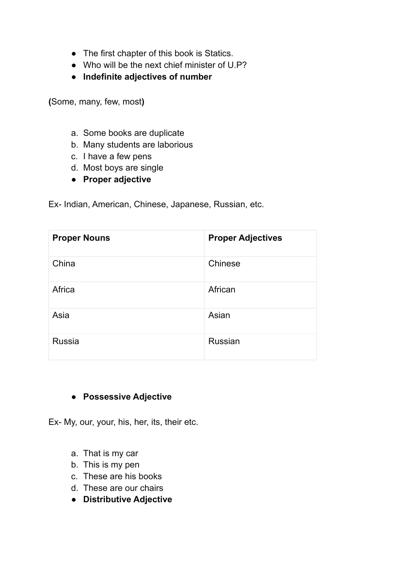- The first chapter of this book is Statics.
- Who will be the next chief minister of U.P?
- **Indefinite adjectives of number**

**(**Some, many, few, most**)**

- a. Some books are duplicate
- b. Many students are laborious
- c. I have a few pens
- d. Most boys are single
- **Proper adjective**

Ex- Indian, American, Chinese, Japanese, Russian, etc.

| <b>Proper Nouns</b> | <b>Proper Adjectives</b> |
|---------------------|--------------------------|
| China               | Chinese                  |
| Africa              | African                  |
| Asia                | Asian                    |
| <b>Russia</b>       | <b>Russian</b>           |

#### ● **Possessive Adjective**

Ex- My, our, your, his, her, its, their etc.

- a. That is my car
- b. This is my pen
- c. These are his books
- d. These are our chairs
- **Distributive Adjective**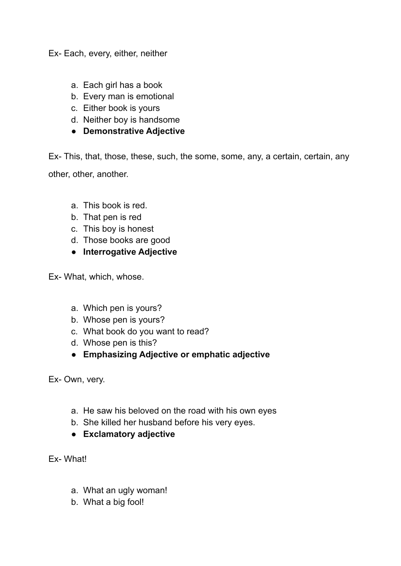Ex- Each, every, either, neither

- a. Each girl has a book
- b. Every man is emotional
- c. Either book is yours
- d. Neither boy is handsome
- **Demonstrative Adjective**

Ex- This, that, those, these, such, the some, some, any, a certain, certain, any other, other, another.

- a. This book is red.
- b. That pen is red
- c. This boy is honest
- d. Those books are good
- **Interrogative Adjective**

Ex- What, which, whose.

- a. Which pen is yours?
- b. Whose pen is yours?
- c. What book do you want to read?
- d. Whose pen is this?
- **Emphasizing Adjective or emphatic adjective**

Ex- Own, very.

- a. He saw his beloved on the road with his own eyes
- b. She killed her husband before his very eyes.
- **Exclamatory adjective**
- Ex- What!
	- a. What an ugly woman!
	- b. What a big fool!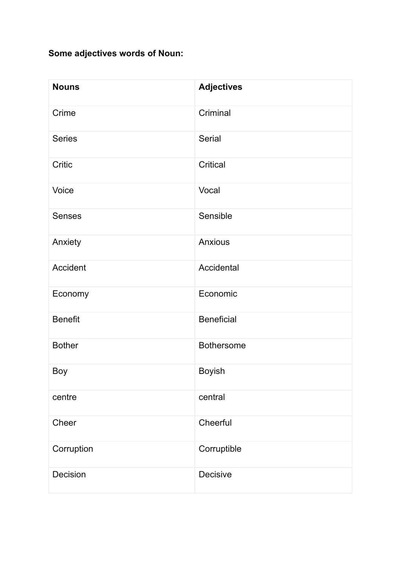#### **Some adjectives words of Noun:**

| <b>Nouns</b>   | <b>Adjectives</b> |
|----------------|-------------------|
| Crime          | Criminal          |
| <b>Series</b>  | Serial            |
| Critic         | Critical          |
| Voice          | Vocal             |
| <b>Senses</b>  | Sensible          |
| Anxiety        | <b>Anxious</b>    |
| Accident       | Accidental        |
| Economy        | Economic          |
| <b>Benefit</b> | <b>Beneficial</b> |
| <b>Bother</b>  | <b>Bothersome</b> |
| <b>Boy</b>     | <b>Boyish</b>     |
| centre         | central           |
| Cheer          | Cheerful          |
| Corruption     | Corruptible       |
| Decision       | Decisive          |